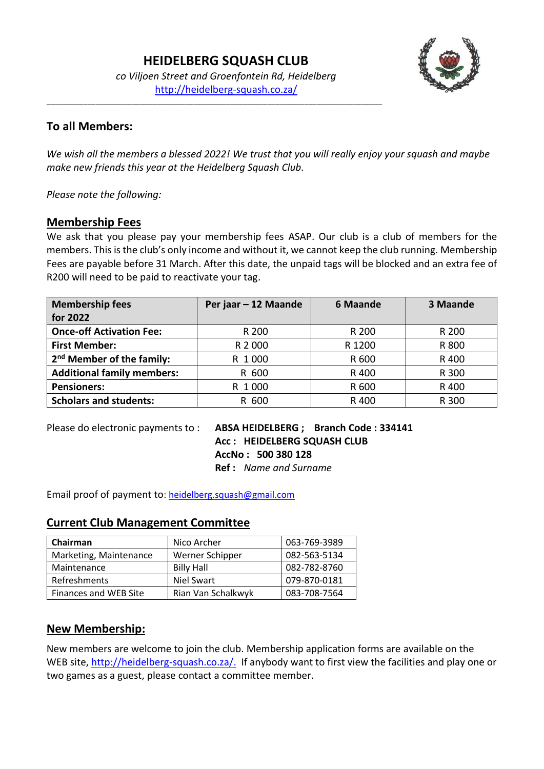*co Viljoen Street and Groenfontein Rd, Heidelberg* <http://heidelberg-squash.co.za/>

\_\_\_\_\_\_\_\_\_\_\_\_\_\_\_\_\_\_\_\_\_\_\_\_\_\_\_\_\_\_\_\_\_\_\_\_\_\_\_\_\_\_\_\_\_\_\_\_\_\_\_\_\_\_\_\_\_\_\_\_\_\_\_\_\_\_\_\_\_\_\_\_\_\_\_\_\_\_\_\_\_\_



# **To all Members:**

*We wish all the members a blessed 2022! We trust that you will really enjoy your squash and maybe make new friends this year at the Heidelberg Squash Club.*

*Please note the following:*

### **Membership Fees**

We ask that you please pay your membership fees ASAP. Our club is a club of members for the members. This is the club's only income and without it, we cannot keep the club running. Membership Fees are payable before 31 March. After this date, the unpaid tags will be blocked and an extra fee of R200 will need to be paid to reactivate your tag.

| <b>Membership fees</b><br>for 2022    | Per jaar - 12 Maande | <b>6 Maande</b> | 3 Maande |
|---------------------------------------|----------------------|-----------------|----------|
| <b>Once-off Activation Fee:</b>       | R 200                | R 200           | R 200    |
| <b>First Member:</b>                  | R 2 000              | R 1200          | R 800    |
| 2 <sup>nd</sup> Member of the family: | R 1000               | R 600           | R 400    |
| <b>Additional family members:</b>     | R 600                | R 400           | R 300    |
| <b>Pensioners:</b>                    | R 1000               | R 600           | R 400    |
| <b>Scholars and students:</b>         | R 600                | R 400           | R 300    |

Please do electronic payments to : **ABSA HEIDELBERG ; Branch Code : 334141 Acc : HEIDELBERG SQUASH CLUB AccNo : 500 380 128 Ref :** *Name and Surname*

Email proof of payment to: [heidelberg.squash@gmail.com](mailto:heidelberg.squash@gmail.com)

### **Current Club Management Committee**

| Chairman               | Nico Archer        | 063-769-3989 |
|------------------------|--------------------|--------------|
| Marketing, Maintenance | Werner Schipper    | 082-563-5134 |
| Maintenance            | <b>Billy Hall</b>  | 082-782-8760 |
| Refreshments           | Niel Swart         | 079-870-0181 |
| Finances and WEB Site  | Rian Van Schalkwyk | 083-708-7564 |

### **New Membership:**

New members are welcome to join the club. Membership application forms are available on the WEB site, [http://heidelberg-squash.co.za/.](http://heidelberg-squash.co.za/) If anybody want to first view the facilities and play one or two games as a guest, please contact a committee member.